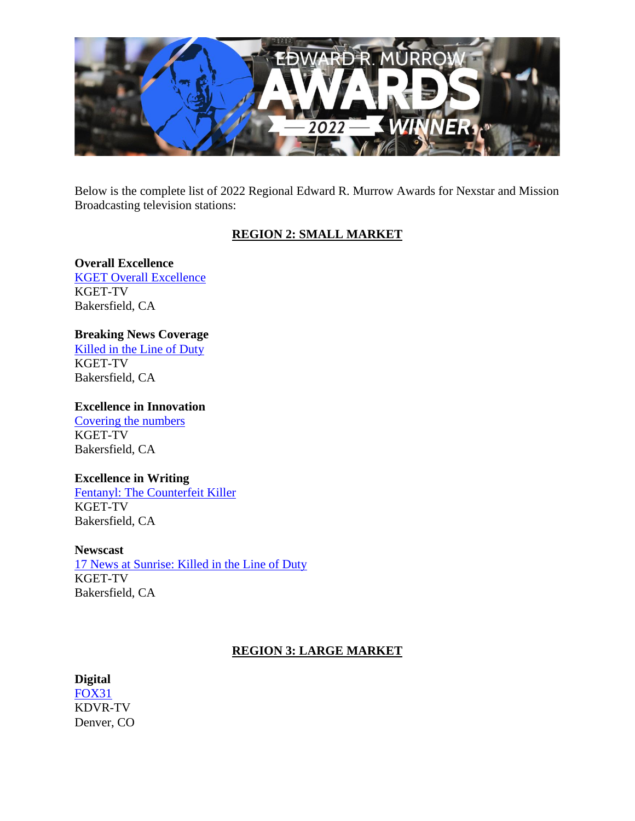

Below is the complete list of 2022 Regional Edward R. Murrow Awards for Nexstar and Mission Broadcasting television stations:

# **REGION 2: SMALL MARKET**

# **Overall Excellence**

[KGET Overall Excellence](https://www.youtube.com/watch?v=DcqhcVZzpZs) KGET-TV Bakersfield, CA

# **Breaking News Coverage**

[Killed in the Line of Duty](https://www.youtube.com/watch?v=Dzu_5gsg4Wg) KGET-TV Bakersfield, CA

#### **Excellence in Innovation**

[Covering the numbers](https://www.youtube.com/watch?v=DcqhcVZzpZs) KGET-TV Bakersfield, CA

# **Excellence in Writing**

[Fentanyl: The Counterfeit Killer](https://www.youtube.com/watch?v=4rwgSk14ntQ) KGET-TV Bakersfield, CA

#### **Newscast**

[17 News at Sunrise: Killed in the Line of Duty](https://www.youtube.com/watch?v=1S2YSut_844&t=1478s) KGET-TV Bakersfield, CA

# **REGION 3: LARGE MARKET**

# **Digital**

[FOX31](https://kdvr.com/home-out-of-range/) KDVR-TV Denver, CO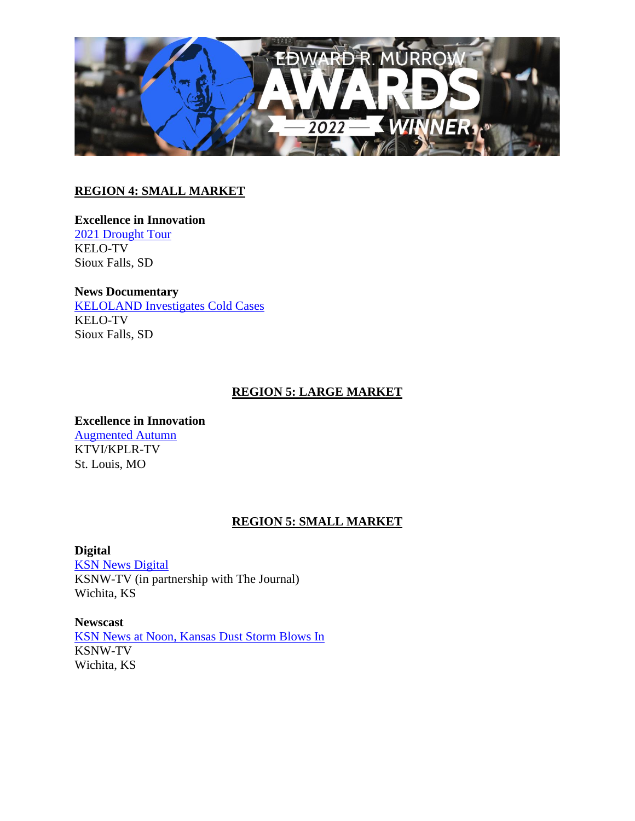

# **REGION 4: SMALL MARKET**

#### **Excellence in Innovation** [2021 Drought Tour](https://youtu.be/IWWH0oEEZDg,%20https:/www.keloland.com/weather/drought/%20,%20https:/www.keloland.com/keloland-com-original/they-just-dont-know-if-they-are-going-to-have-a-crop-for-the-coming-year-farmers-reluctant-to-sell-grain-to-ethanol-plant-during-drought/%20,%20https:/www.keloland.com/keloland-com-original/field-residue-impacts-the-drought-conditions-for-crop-farmers/,%20https:/www.keloland.com/ke) KELO-TV Sioux Falls, SD

**News Documentary** [KELOLAND Investigates Cold Cases](https://youtu.be/scBuI82FsBY) KELO-TV Sioux Falls, SD

# **REGION 5: LARGE MARKET**

**Excellence in Innovation** [Augmented Autumn](https://www.youtube.com/watch?v=obS8HQlI3qk) KTVI/KPLR-TV St. Louis, MO

# **REGION 5: SMALL MARKET**

**Digital**

[KSN News Digital](https://www.ksn.com/news/local/bob-dole-kansan-veteran-political-leader-dies-at-age-98/) KSNW-TV (in partnership with The Journal) Wichita, KS

**Newscast** [KSN News at Noon, Kansas Dust Storm Blows In](https://www.youtube.com/watch?v=KNdUUGONghQ&feature=youtu.be) KSNW-TV Wichita, KS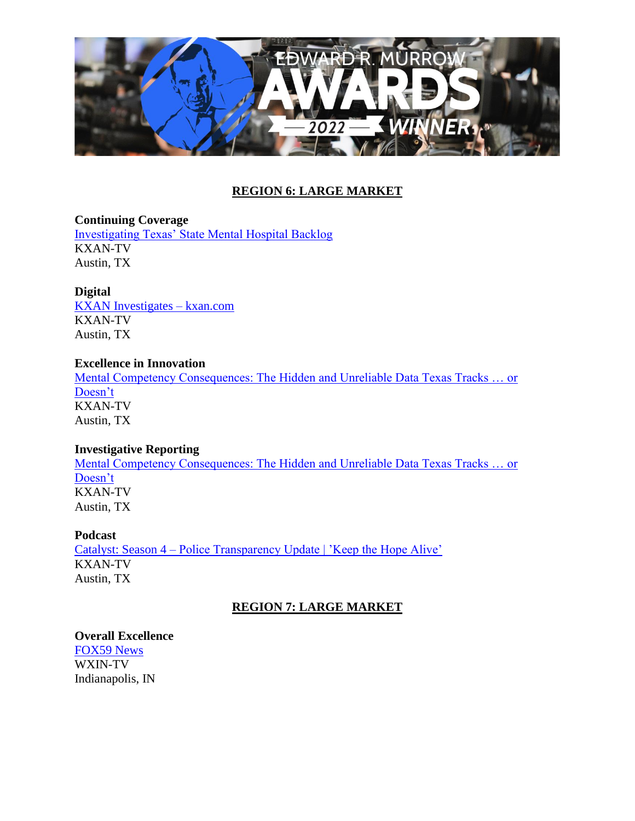

# **REGION 6: LARGE MARKET**

**Continuing Coverage** [Investigating Texas' State Mental Hospital Backlog](https://www.kxan.com/jail-mental-health/) KXAN-TV Austin, TX

**Digital**

[KXAN Investigates –](http://mentalcompetencyconsequences.com/) kxan.com KXAN-TV Austin, TX

#### **Excellence in Innovation**

[Mental Competency Consequences: The Hidden and Unreliable Data Texas Tracks … or](http://mentalcompetencyconsequences.com/)  [Doesn't](http://mentalcompetencyconsequences.com/) KXAN-TV Austin, TX

#### **Investigative Reporting**

[Mental Competency Consequences: The Hidden and Unreliable Data Texas Tracks … or](https://vimeo.com/668078983)  [Doesn't](https://vimeo.com/668078983) KXAN-TV Austin, TX

#### **Podcast**

Catalyst: Season 4 – [Police Transparency Update | 'Keep the Hope Alive'](https://www.kxan.com/catalyst-season-4/) KXAN-TV Austin, TX

# **REGION 7: LARGE MARKET**

#### **Overall Excellence**

[FOX59 News](https://youtu.be/TKpt65CLBMg) WXIN-TV Indianapolis, IN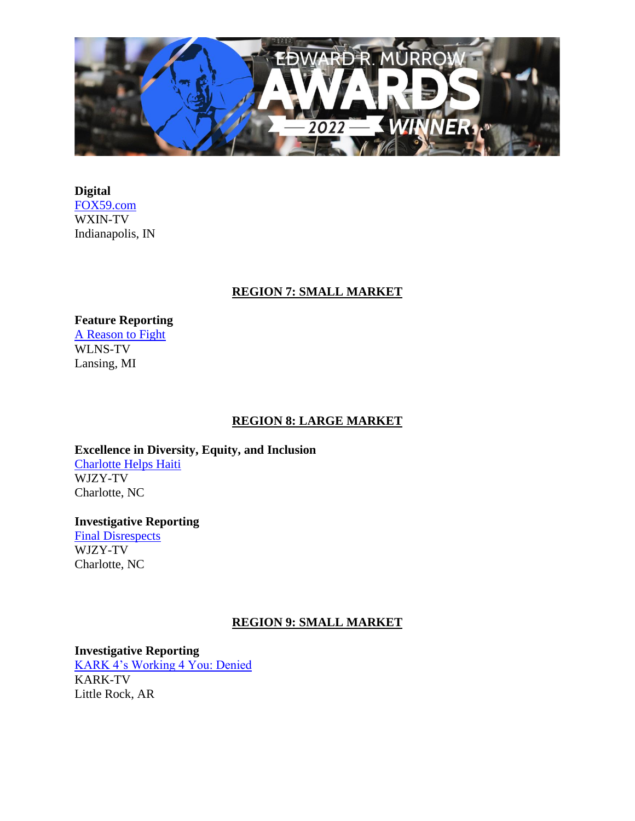

**Digital** [FOX59.com](https://fox59.com/) WXIN-TV Indianapolis, IN

### **REGION 7: SMALL MARKET**

**Feature Reporting** [A Reason to Fight](https://www.youtube.com/watch?v=GlME2DVRfBQ) WLNS-TV Lansing, MI

#### **REGION 8: LARGE MARKET**

**Excellence in Diversity, Equity, and Inclusion** [Charlotte Helps Haiti](https://youtu.be/-Mnim7oGv0o) WJZY-TV Charlotte, NC

**Investigative Reporting** [Final Disrespects](https://youtu.be/_QaXae1RZE8) WJZY-TV Charlotte, NC

#### **REGION 9: SMALL MARKET**

**Investigative Reporting** [KARK 4's Working 4 You: Denied](https://youtu.be/4LnK8GXpw2A)

KARK-TV Little Rock, AR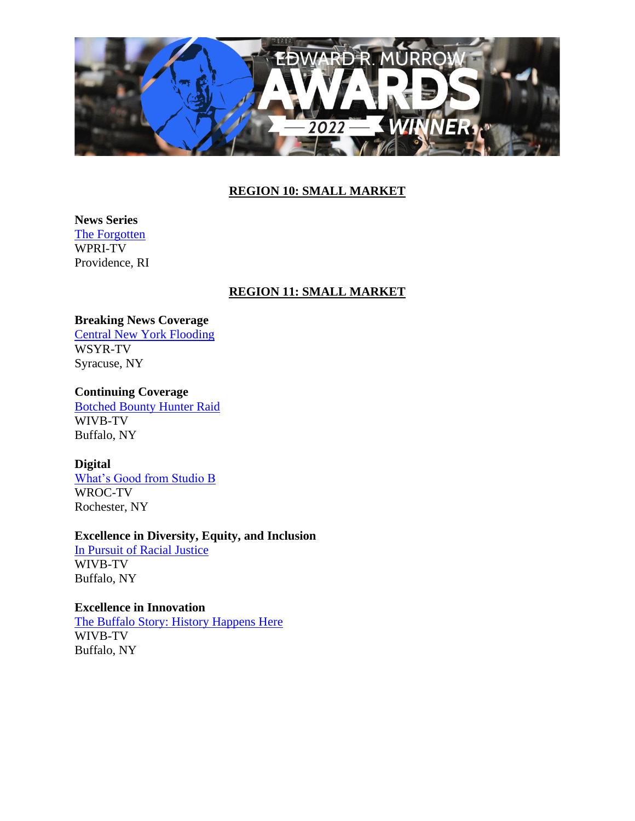

# **REGION 10: SMALL MARKET**

**News Series** [The Forgotten](https://www.wpri.com/target-12/hundreds-of-bodies-discovered-under-ri-highway-in-search-for-gravesite) WPRI-TV Providence, RI

### **REGION 11: SMALL MARKET**

#### **Breaking News Coverage**

[Central New York Flooding](https://youtu.be/oaG3l9Q2nfM) WSYR-TV Syracuse, NY

# **Continuing Coverage**

[Botched Bounty Hunter Raid](https://www.youtube.com/watch?v=_YqTx6qcu1E) WIVB-TV Buffalo, NY

#### **Digital**

[What's Good from Studio B](https://www.rochesterfirst.com/award-submissions/murrow-awards-submission-news-8-wroc-digital-exclusives/) WROC-TV Rochester, NY

### **Excellence in Diversity, Equity, and Inclusion**

[In Pursuit of Racial Justice](https://vimeo.com/656416052/eecc182195) WIVB-TV Buffalo, NY

# **Excellence in Innovation**

[The Buffalo Story: History Happens Here](https://vimeo.com/showcase/6189369) WIVB-TV Buffalo, NY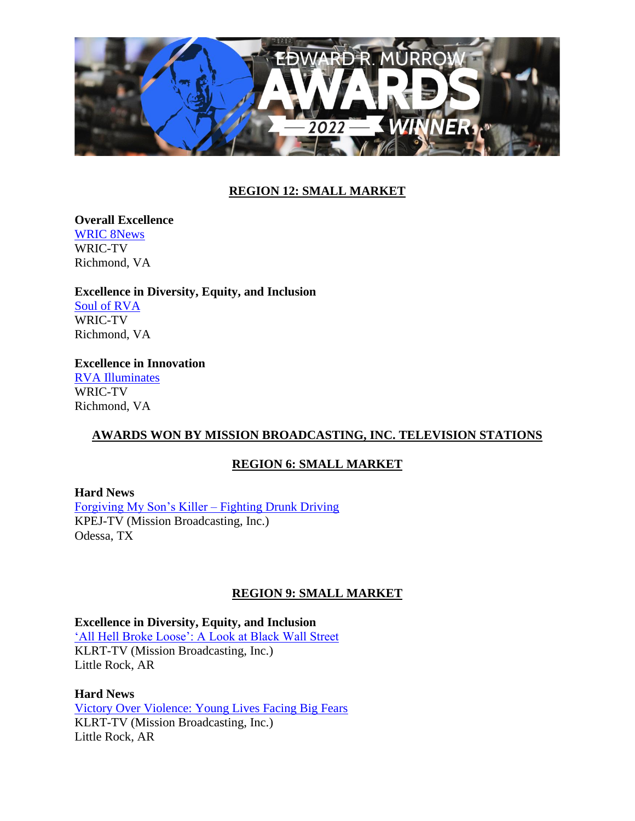

# **REGION 12: SMALL MARKET**

**Overall Excellence** [WRIC 8News](https://www.youtube.com/watch?v=4yZNQNw_H0Q&ab_channel=KatieWells)

WRIC-TV Richmond, VA

**Excellence in Diversity, Equity, and Inclusion** [Soul of RVA](https://www.youtube.com/watch?v=t-SHk_L0jD0&ab_channel=KatieWells) WRIC-TV Richmond, VA

**Excellence in Innovation** [RVA Illuminates](https://www.youtube.com/watch?v=1mNvNNaFTHs&ab_channel=KatieWells) WRIC-TV Richmond, VA

# **AWARDS WON BY MISSION BROADCASTING, INC. TELEVISION STATIONS**

#### **REGION 6: SMALL MARKET**

**Hard News**

[Forgiving My Son's Killer –](https://www.facebook.com/monicanews/videos/200538691909154) Fighting Drunk Driving KPEJ-TV (Mission Broadcasting, Inc.) Odessa, TX

# **REGION 9: SMALL MARKET**

**Excellence in Diversity, Equity, and Inclusion** ['All Hell Broke Loose': A Look at Black Wall Street](https://youtu.be/D1aS-gby7gI) KLRT-TV (Mission Broadcasting, Inc.) Little Rock, AR

**Hard News** [Victory Over Violence: Young Lives Facing Big Fears](https://youtu.be/4y3Xze5oFgE) KLRT-TV (Mission Broadcasting, Inc.) Little Rock, AR